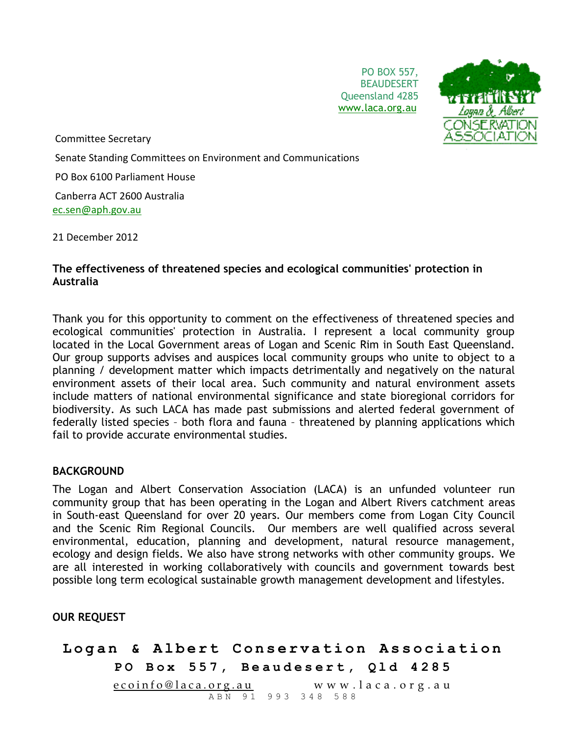PO BOX 557, **BEAUDESERT** Queensland 4285 [www.laca.org.au](http://www.laca.org.au/)



Committee Secretary

Senate Standing Committees on Environment and Communications

PO Box 6100 Parliament House

Canberra ACT 2600 Australia [ec.sen@aph.gov.au](mailto:ec.sen@aph.gov.au)

21 December 2012

### **The effectiveness of threatened species and ecological communities' protection in Australia**

Thank you for this opportunity to comment on the effectiveness of threatened species and ecological communities' protection in Australia. I represent a local community group located in the Local Government areas of Logan and Scenic Rim in South East Queensland. Our group supports advises and auspices local community groups who unite to object to a planning / development matter which impacts detrimentally and negatively on the natural environment assets of their local area. Such community and natural environment assets include matters of national environmental significance and state bioregional corridors for biodiversity. As such LACA has made past submissions and alerted federal government of federally listed species – both flora and fauna – threatened by planning applications which fail to provide accurate environmental studies.

#### **BACKGROUND**

The Logan and Albert Conservation Association (LACA) is an unfunded volunteer run community group that has been operating in the Logan and Albert Rivers catchment areas in South-east Queensland for over 20 years. Our members come from Logan City Council and the Scenic Rim Regional Councils. Our members are well qualified across several environmental, education, planning and development, natural resource management, ecology and design fields. We also have strong networks with other community groups. We are all interested in working collaboratively with councils and government towards best possible long term ecological sustainable growth management development and lifestyles.

#### **OUR REQUEST**

## Logan & Albert Conservation Association **PO Box 557, Beaudesert, Qld 4285**  $ecoinfo@laca.org.au$  www.laca.org.au ABN 91 993 348 588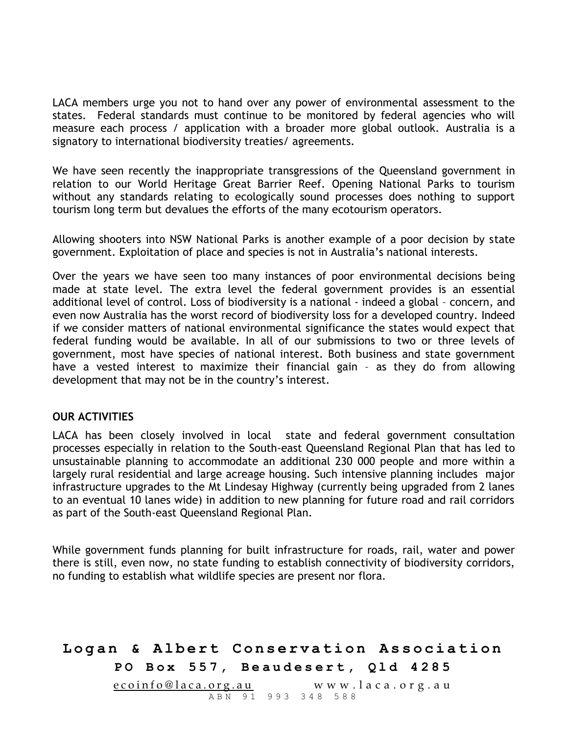LACA members urge you not to hand over any power of environmental assessment to the states. Federal standards must continue to be monitored by federal agencies who will measure each process / application with a broader more global outlook. Australia is a signatory to international biodiversity treaties/ agreements.

We have seen recently the inappropriate transgressions of the Queensland government in relation to our World Heritage Great Barrier Reef. Opening National Parks to tourism without any standards relating to ecologically sound processes does nothing to support tourism long term but devalues the efforts of the many ecotourism operators.

Allowing shooters into NSW National Parks is another example of a poor decision by state government. Exploitation of place and species is not in Australia's national interests.

Over the years we have seen too many instances of poor environmental decisions being made at state level. The extra level the federal government provides is an essential additional level of control. Loss of biodiversity is a national - indeed a global – concern, and even now Australia has the worst record of biodiversity loss for a developed country. Indeed if we consider matters of national environmental significance the states would expect that federal funding would be available. In all of our submissions to two or three levels of government, most have species of national interest. Both business and state government have a vested interest to maximize their financial gain – as they do from allowing development that may not be in the country's interest.

#### **OUR ACTIVITIES**

LACA has been closely involved in local state and federal government consultation processes especially in relation to the South-east Queensland Regional Plan that has led to unsustainable planning to accommodate an additional 230 000 people and more within a largely rural residential and large acreage housing. Such intensive planning includes major infrastructure upgrades to the Mt Lindesay Highway (currently being upgraded from 2 lanes to an eventual 10 lanes wide) in addition to new planning for future road and rail corridors as part of the South-east Queensland Regional Plan.

While government funds planning for built infrastructure for roads, rail, water and power there is still, even now, no state funding to establish connectivity of biodiversity corridors, no funding to establish what wildlife species are present nor flora.

# Logan & Albert Conservation Association **PO Box 557, Beaudesert, Qld 4285** <u>e coinfo@laca.org.au</u> www.laca.org.au ABN 91 993 348 588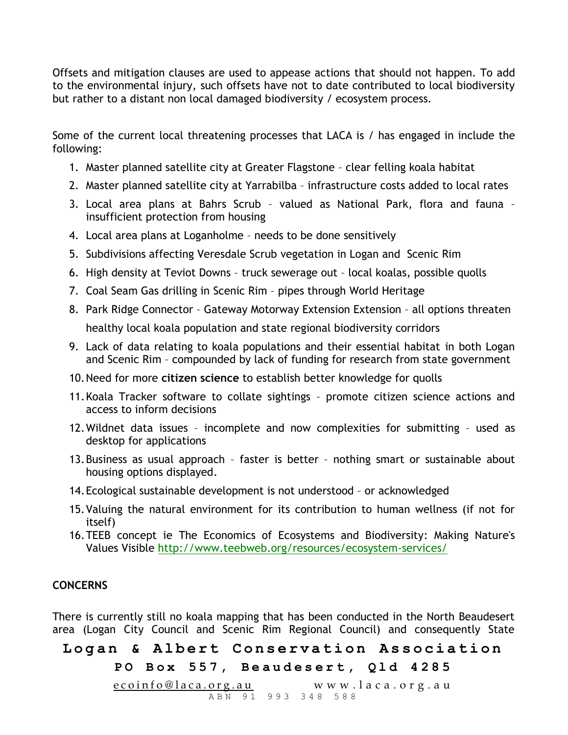Offsets and mitigation clauses are used to appease actions that should not happen. To add to the environmental injury, such offsets have not to date contributed to local biodiversity but rather to a distant non local damaged biodiversity / ecosystem process.

Some of the current local threatening processes that LACA is / has engaged in include the following:

- 1. Master planned satellite city at Greater Flagstone clear felling koala habitat
- 2. Master planned satellite city at Yarrabilba infrastructure costs added to local rates
- 3. Local area plans at Bahrs Scrub valued as National Park, flora and fauna insufficient protection from housing
- 4. Local area plans at Loganholme needs to be done sensitively
- 5. Subdivisions affecting Veresdale Scrub vegetation in Logan and Scenic Rim
- 6. High density at Teviot Downs truck sewerage out local koalas, possible quolls
- 7. Coal Seam Gas drilling in Scenic Rim pipes through World Heritage
- 8. Park Ridge Connector Gateway Motorway Extension Extension all options threaten healthy local koala population and state regional biodiversity corridors
- 9. Lack of data relating to koala populations and their essential habitat in both Logan and Scenic Rim – compounded by lack of funding for research from state government
- 10.Need for more **citizen science** to establish better knowledge for quolls
- 11.Koala Tracker software to collate sightings promote citizen science actions and access to inform decisions
- 12.Wildnet data issues incomplete and now complexities for submitting used as desktop for applications
- 13.Business as usual approach faster is better nothing smart or sustainable about housing options displayed.
- 14.Ecological sustainable development is not understood or acknowledged
- 15.Valuing the natural environment for its contribution to human wellness (if not for itself)
- 16.TEEB concept ie The Economics of Ecosystems and Biodiversity: Making Nature's Values Visible <http://www.teebweb.org/resources/ecosystem-services/>

## **CONCERNS**

There is currently still no koala mapping that has been conducted in the North Beaudesert area (Logan City Council and Scenic Rim Regional Council) and consequently State

# Logan & Albert Conservation Association

## **PO Box 557, Beaudesert, Qld 4285**

e coinfo@laca.org.au www.laca.org.au <u>-- 8. . . .</u><br>ABN 91 993 348 588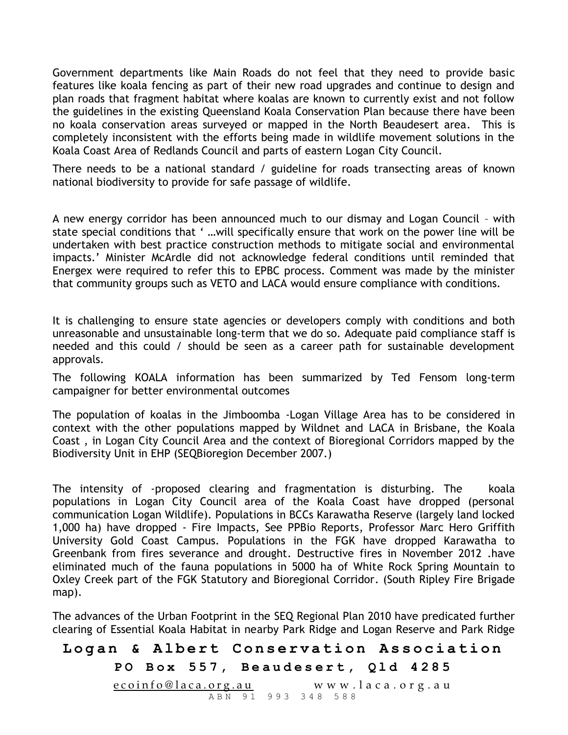Government departments like Main Roads do not feel that they need to provide basic features like koala fencing as part of their new road upgrades and continue to design and plan roads that fragment habitat where koalas are known to currently exist and not follow the guidelines in the existing Queensland Koala Conservation Plan because there have been no koala conservation areas surveyed or mapped in the North Beaudesert area. This is completely inconsistent with the efforts being made in wildlife movement solutions in the Koala Coast Area of Redlands Council and parts of eastern Logan City Council.

There needs to be a national standard / guideline for roads transecting areas of known national biodiversity to provide for safe passage of wildlife.

A new energy corridor has been announced much to our dismay and Logan Council – with state special conditions that ' …will specifically ensure that work on the power line will be undertaken with best practice construction methods to mitigate social and environmental impacts.' Minister McArdle did not acknowledge federal conditions until reminded that Energex were required to refer this to EPBC process. Comment was made by the minister that community groups such as VETO and LACA would ensure compliance with conditions.

It is challenging to ensure state agencies or developers comply with conditions and both unreasonable and unsustainable long-term that we do so. Adequate paid compliance staff is needed and this could / should be seen as a career path for sustainable development approvals.

The following KOALA information has been summarized by Ted Fensom long-term campaigner for better environmental outcomes

The population of koalas in the Jimboomba -Logan Village Area has to be considered in context with the other populations mapped by Wildnet and LACA in Brisbane, the Koala Coast , in Logan City Council Area and the context of Bioregional Corridors mapped by the Biodiversity Unit in EHP (SEQBioregion December 2007.)

The intensity of -proposed clearing and fragmentation is disturbing. The koala populations in Logan City Council area of the Koala Coast have dropped (personal communication Logan Wildlife). Populations in BCCs Karawatha Reserve (largely land locked 1,000 ha) have dropped - Fire Impacts, See PPBio Reports, Professor Marc Hero Griffith University Gold Coast Campus. Populations in the FGK have dropped Karawatha to Greenbank from fires severance and drought. Destructive fires in November 2012 .have eliminated much of the fauna populations in 5000 ha of White Rock Spring Mountain to Oxley Creek part of the FGK Statutory and Bioregional Corridor. (South Ripley Fire Brigade map).

The advances of the Urban Footprint in the SEQ Regional Plan 2010 have predicated further clearing of Essential Koala Habitat in nearby Park Ridge and Logan Reserve and Park Ridge

# Logan & Albert Conservation Association

### **PO Box 557, Beaudesert, Qld 4285**

<u>e coinfo@laca.org.au</u> www.laca.org.au ABN 91 993 348 588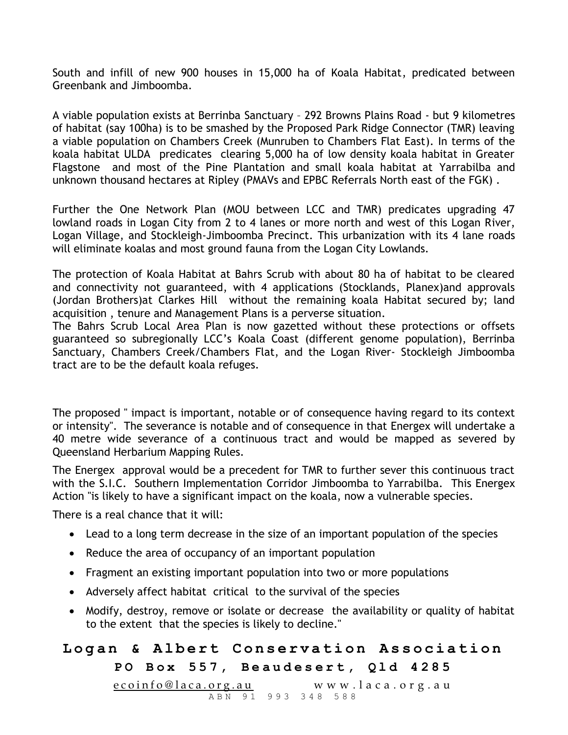South and infill of new 900 houses in 15,000 ha of Koala Habitat, predicated between Greenbank and Jimboomba.

A viable population exists at Berrinba Sanctuary – 292 Browns Plains Road - but 9 kilometres of habitat (say 100ha) is to be smashed by the Proposed Park Ridge Connector (TMR) leaving a viable population on Chambers Creek (Munruben to Chambers Flat East). In terms of the koala habitat ULDA predicates clearing 5,000 ha of low density koala habitat in Greater Flagstone and most of the Pine Plantation and small koala habitat at Yarrabilba and unknown thousand hectares at Ripley (PMAVs and EPBC Referrals North east of the FGK) .

Further the One Network Plan (MOU between LCC and TMR) predicates upgrading 47 lowland roads in Logan City from 2 to 4 lanes or more north and west of this Logan River, Logan Village, and Stockleigh-Jimboomba Precinct. This urbanization with its 4 lane roads will eliminate koalas and most ground fauna from the Logan City Lowlands.

The protection of Koala Habitat at Bahrs Scrub with about 80 ha of habitat to be cleared and connectivity not guaranteed, with 4 applications (Stocklands, Planex)and approvals (Jordan Brothers)at Clarkes Hill without the remaining koala Habitat secured by; land acquisition , tenure and Management Plans is a perverse situation.

The Bahrs Scrub Local Area Plan is now gazetted without these protections or offsets guaranteed so subregionally LCC's Koala Coast (different genome population), Berrinba Sanctuary, Chambers Creek/Chambers Flat, and the Logan River- Stockleigh Jimboomba tract are to be the default koala refuges.

The proposed " impact is important, notable or of consequence having regard to its context or intensity". The severance is notable and of consequence in that Energex will undertake a 40 metre wide severance of a continuous tract and would be mapped as severed by Queensland Herbarium Mapping Rules.

The Energex approval would be a precedent for TMR to further sever this continuous tract with the S.I.C. Southern Implementation Corridor Jimboomba to Yarrabilba. This Energex Action "is likely to have a significant impact on the koala, now a vulnerable species.

There is a real chance that it will:

- Lead to a long term decrease in the size of an important population of the species
- Reduce the area of occupancy of an important population
- Fragment an existing important population into two or more populations
- Adversely affect habitat critical to the survival of the species
- Modify, destroy, remove or isolate or decrease the availability or quality of habitat to the extent that the species is likely to decline."

# Logan & Albert Conservation Association **PO Box 557, Beaudesert, Qld 4285**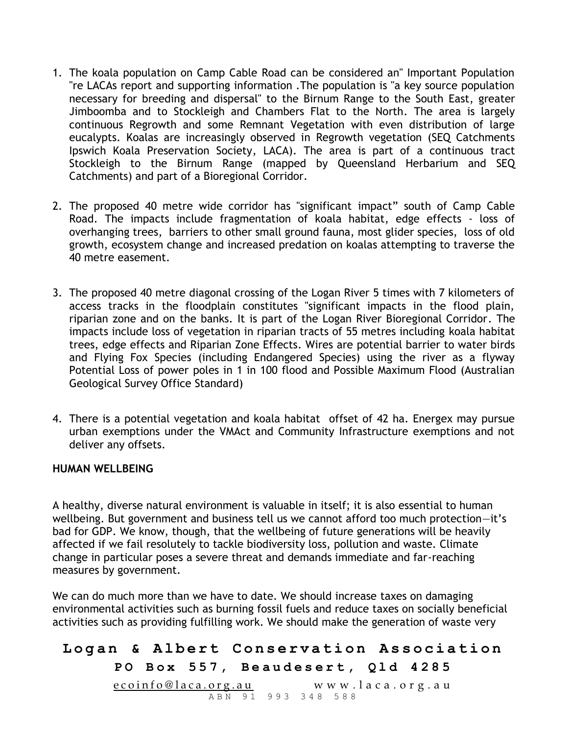- 1. The koala population on Camp Cable Road can be considered an" Important Population "re LACAs report and supporting information .The population is "a key source population necessary for breeding and dispersal" to the Birnum Range to the South East, greater Jimboomba and to Stockleigh and Chambers Flat to the North. The area is largely continuous Regrowth and some Remnant Vegetation with even distribution of large eucalypts. Koalas are increasingly observed in Regrowth vegetation (SEQ Catchments Ipswich Koala Preservation Society, LACA). The area is part of a continuous tract Stockleigh to the Birnum Range (mapped by Queensland Herbarium and SEQ Catchments) and part of a Bioregional Corridor.
- 2. The proposed 40 metre wide corridor has "significant impact" south of Camp Cable Road. The impacts include fragmentation of koala habitat, edge effects - loss of overhanging trees, barriers to other small ground fauna, most glider species, loss of old growth, ecosystem change and increased predation on koalas attempting to traverse the 40 metre easement.
- 3. The proposed 40 metre diagonal crossing of the Logan River 5 times with 7 kilometers of access tracks in the floodplain constitutes "significant impacts in the flood plain, riparian zone and on the banks. It is part of the Logan River Bioregional Corridor. The impacts include loss of vegetation in riparian tracts of 55 metres including koala habitat trees, edge effects and Riparian Zone Effects. Wires are potential barrier to water birds and Flying Fox Species (including Endangered Species) using the river as a flyway Potential Loss of power poles in 1 in 100 flood and Possible Maximum Flood (Australian Geological Survey Office Standard)
- 4. There is a potential vegetation and koala habitat offset of 42 ha. Energex may pursue urban exemptions under the VMAct and Community Infrastructure exemptions and not deliver any offsets.

#### **HUMAN WELLBEING**

A healthy, diverse natural environment is valuable in itself; it is also essential to human wellbeing. But government and business tell us we cannot afford too much protection—it's bad for GDP. We know, though, that the wellbeing of future generations will be heavily affected if we fail resolutely to tackle biodiversity loss, pollution and waste. Climate change in particular poses a severe threat and demands immediate and far-reaching measures by government.

We can do much more than we have to date. We should increase taxes on damaging environmental activities such as burning fossil fuels and reduce taxes on socially beneficial activities such as providing fulfilling work. We should make the generation of waste very

# Logan & Albert Conservation Association **PO Box 557, Beaudesert, Qld 4285** <u>e coinfo@laca.org.au</u> www.laca.org.au ABN 91 993 348 588